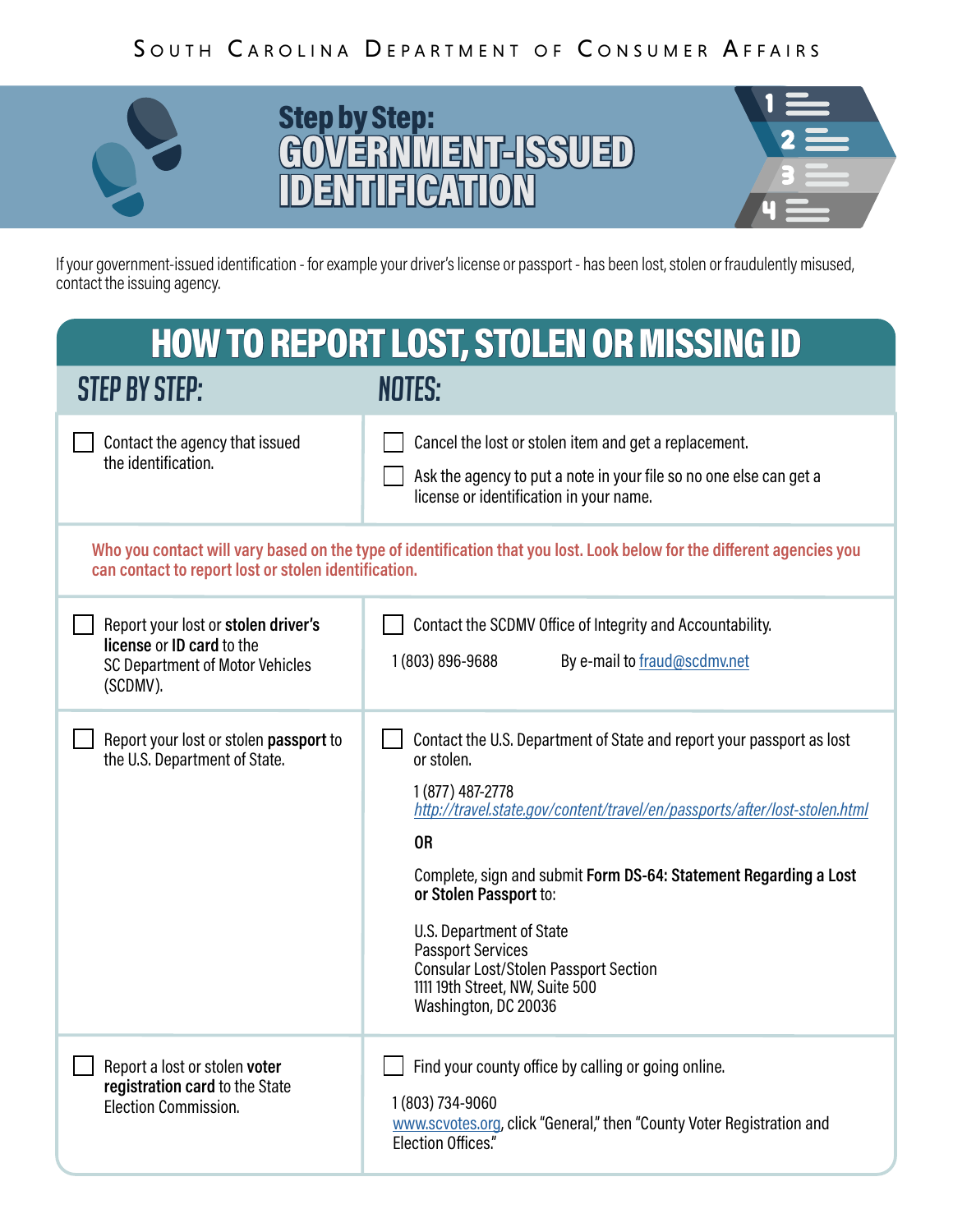## SOUTH CAROLINA DEPARTMENT OF CONSUMER AFFAIRS



## *BICPLYSICP.*<br>COMERNIMENTELS GOVERNMENT-BSUED **ID Step by Step:<br>
<b>EOWERNMENT-ISSUED**<br> **IDENTIFICATION** Step by Step: GOVERNMENT-ISSUED



If your government-issued identification - for example your driver's license or passport - has been lost, stolen or fraudulently misused, contact the issuing agency.

| <b>HOW TO REPORT LOST, STOLEN OR MISSING ID</b>                                                                                                                                |                                                                                                                                                                                                                                                                                                                                                                                                                                                                     |
|--------------------------------------------------------------------------------------------------------------------------------------------------------------------------------|---------------------------------------------------------------------------------------------------------------------------------------------------------------------------------------------------------------------------------------------------------------------------------------------------------------------------------------------------------------------------------------------------------------------------------------------------------------------|
| <b>STEP BY STEP:</b>                                                                                                                                                           | <b>NOTES:</b>                                                                                                                                                                                                                                                                                                                                                                                                                                                       |
| Contact the agency that issued<br>the identification.                                                                                                                          | Cancel the lost or stolen item and get a replacement.<br>Ask the agency to put a note in your file so no one else can get a<br>license or identification in your name.                                                                                                                                                                                                                                                                                              |
| Who you contact will vary based on the type of identification that you lost. Look below for the different agencies you<br>can contact to report lost or stolen identification. |                                                                                                                                                                                                                                                                                                                                                                                                                                                                     |
| Report your lost or stolen driver's<br>license or ID card to the<br>SC Department of Motor Vehicles<br>(SCDMV).                                                                | Contact the SCDMV Office of Integrity and Accountability.<br>1 (803) 896-9688<br>By e-mail to fraud@scdmv.net                                                                                                                                                                                                                                                                                                                                                       |
| Report your lost or stolen passport to<br>the U.S. Department of State.                                                                                                        | Contact the U.S. Department of State and report your passport as lost<br>or stolen.<br>1 (877) 487-2778<br>http://travel.state.gov/content/travel/en/passports/after/lost-stolen.html<br><b>OR</b><br>Complete, sign and submit Form DS-64: Statement Regarding a Lost<br>or Stolen Passport to:<br>U.S. Department of State<br><b>Passport Services</b><br><b>Consular Lost/Stolen Passport Section</b><br>1111 19th Street, NW, Suite 500<br>Washington, DC 20036 |
| Report a lost or stolen voter<br>registration card to the State<br><b>Election Commission.</b>                                                                                 | Find your county office by calling or going online.<br>1 (803) 734-9060<br>www.scvotes.org, click "General," then "County Voter Registration and<br><b>Election Offices."</b>                                                                                                                                                                                                                                                                                       |